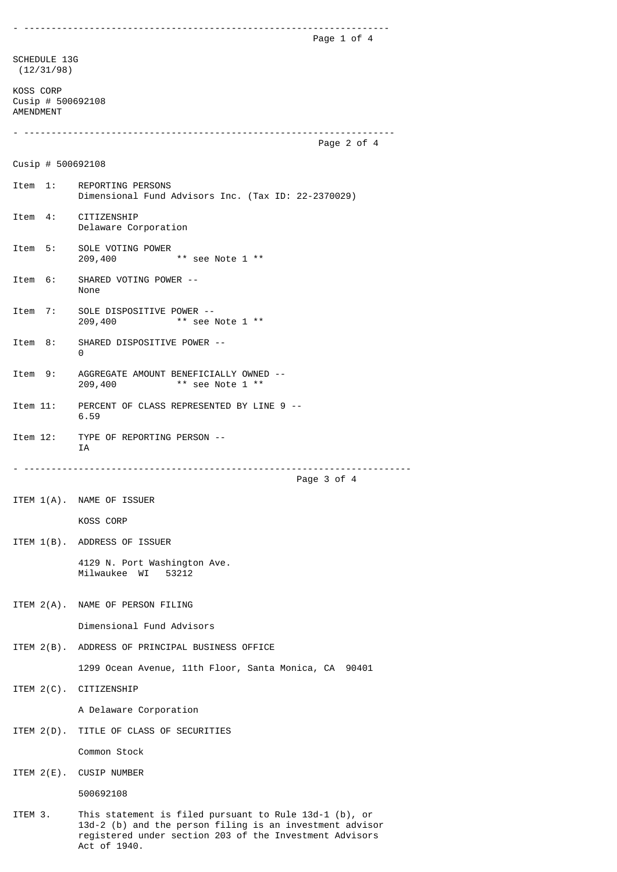- ------------------------------------------------------------------- Page 1 of 4 SCHEDULE 13G (12/31/98) KOSS CORP Cusip # 500692108 AMENDMENT - -------------------------------------------------------------------- Page 2 of 4 Cusip # 500692108 Item 1: REPORTING PERSONS Dimensional Fund Advisors Inc. (Tax ID: 22-2370029) Item 4: CITIZENSHIP Delaware Corporation Item 5: SOLE VOTING POWER 209,400 \*\* see Note 1 \*\* Item 6: SHARED VOTING POWER -- None Item 7: SOLE DISPOSITIVE POWER -- 209,400 \*\* see Note 1 \*\* Item 8: SHARED DISPOSITIVE POWER -- 0 Item 9: AGGREGATE AMOUNT BENEFICIALLY OWNED -- 209,400 \*\* see Note 1 \*\* Item 11: PERCENT OF CLASS REPRESENTED BY LINE 9 -- 6.59 Item 12: TYPE OF REPORTING PERSON -- IA - ----------------------------------------------------------------------- Page 3 of 4 ITEM 1(A). NAME OF ISSUER KOSS CORP ITEM 1(B). ADDRESS OF ISSUER 4129 N. Port Washington Ave. Milwaukee WI 53212 ITEM 2(A). NAME OF PERSON FILING Dimensional Fund Advisors ITEM 2(B). ADDRESS OF PRINCIPAL BUSINESS OFFICE 1299 Ocean Avenue, 11th Floor, Santa Monica, CA 90401 ITEM 2(C). CITIZENSHIP A Delaware Corporation ITEM 2(D). TITLE OF CLASS OF SECURITIES Common Stock ITEM 2(E). CUSIP NUMBER 500692108 ITEM 3. This statement is filed pursuant to Rule 13d-1 (b), or 13d-2 (b) and the person filing is an investment advisor registered under section 203 of the Investment Advisors

Act of 1940.